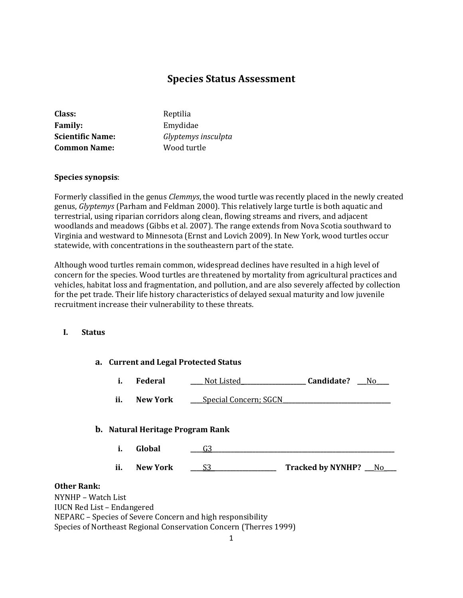# **Species Status Assessment**

| Class:                  | Reptilia            |
|-------------------------|---------------------|
| <b>Family:</b>          | Emydidae            |
| <b>Scientific Name:</b> | Glyptemys insculpta |
| <b>Common Name:</b>     | Wood turtle         |

### **Species synopsis**:

Formerly classified in the genus *Clemmys*, the wood turtle was recently placed in the newly created genus, *Glyptemys* (Parham and Feldman 2000). This relatively large turtle is both aquatic and terrestrial, using riparian corridors along clean, flowing streams and rivers, and adjacent woodlands and meadows (Gibbs et al. 2007). The range extends from Nova Scotia southward to Virginia and westward to Minnesota (Ernst and Lovich 2009). In New York, wood turtles occur statewide, with concentrations in the southeastern part of the state.

Although wood turtles remain common, widespread declines have resulted in a high level of concern for the species. Wood turtles are threatened by mortality from agricultural practices and vehicles, habitat loss and fragmentation, and pollution, and are also severely affected by collection for the pet trade. Their life history characteristics of delayed sexual maturity and low juvenile recruitment increase their vulnerability to these threats.

### **I. Status**

### **a. Current and Legal Protected Status**

|  | <b>Federal</b> | Not Listed | Candidate? | Nο |
|--|----------------|------------|------------|----|
|--|----------------|------------|------------|----|

**ii. New York \_\_\_** Special Concern; SGCN

#### **b. Natural Heritage Program Rank**

**i. Global 2020 G3** 

**ii. New York \_\_\_\_**S3**\_\_\_\_\_\_\_\_\_\_\_\_\_\_\_\_\_\_\_\_\_ Tracked by NYNHP? \_\_\_**No\_**\_\_\_**

# **Other Rank:**

NYNHP – Watch List IUCN Red List – Endangered NEPARC – Species of Severe Concern and high responsibility Species of Northeast Regional Conservation Concern (Therres 1999)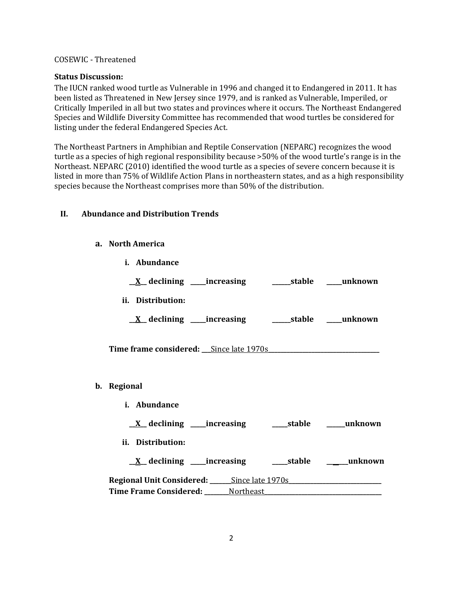### COSEWIC - Threatened

### **Status Discussion:**

The IUCN ranked wood turtle as Vulnerable in 1996 and changed it to Endangered in 2011. It has been listed as Threatened in New Jersey since 1979, and is ranked as Vulnerable, Imperiled, or Critically Imperiled in all but two states and provinces where it occurs. The Northeast Endangered Species and Wildlife Diversity Committee has recommended that wood turtles be considered for listing under the federal Endangered Species Act.

The Northeast Partners in Amphibian and Reptile Conservation (NEPARC) recognizes the wood turtle as a species of high regional responsibility because >50% of the wood turtle's range is in the Northeast. NEPARC (2010) identified the wood turtle as a species of severe concern because it is listed in more than 75% of Wildlife Action Plans in northeastern states, and as a high responsibility species because the Northeast comprises more than 50% of the distribution.

# **II. Abundance and Distribution Trends**

**i. Abundance**

### **a. North America**

| <u>X</u> declining ____increasing ___________stable _____unknown |  |
|------------------------------------------------------------------|--|
| ii. Distribution:                                                |  |
| <u>X</u> declining ____increasing _________stable ____unknown    |  |
| Time frame considered: <u>Since late 1970s</u>                   |  |
| b. Regional                                                      |  |
| i. Abundance                                                     |  |
|                                                                  |  |
| ii. Distribution:                                                |  |
| <u>X</u> declining ____increasing _______stable _______unknown   |  |
| Regional Unit Considered: ______Since late 1970s                 |  |
|                                                                  |  |
|                                                                  |  |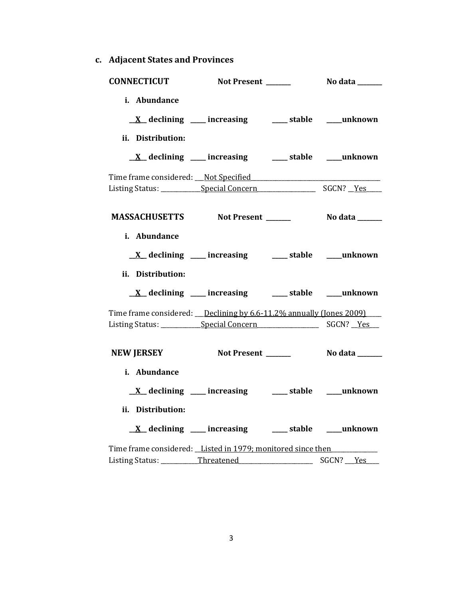**c. Adjacent States and Provinces**

| <b>CONNECTICUT</b>                                                    | Not Present ______                                              | <b>No data</b> ______ |
|-----------------------------------------------------------------------|-----------------------------------------------------------------|-----------------------|
| i. Abundance                                                          |                                                                 |                       |
|                                                                       | $\underline{X}$ declining ___ increasing ___ stable ___ unknown |                       |
| ii. Distribution:                                                     |                                                                 |                       |
|                                                                       | $\underline{X}$ declining ___ increasing ___ stable ___ unknown |                       |
|                                                                       |                                                                 |                       |
|                                                                       |                                                                 |                       |
|                                                                       |                                                                 |                       |
| i. Abundance                                                          |                                                                 |                       |
|                                                                       | $\underline{X}$ declining ___ increasing ___ stable ___ unknown |                       |
| ii. Distribution:                                                     |                                                                 |                       |
|                                                                       | $\underline{X}$ declining ___ increasing ___ stable ___ unknown |                       |
| Time frame considered: __Declining by 6.6-11.2% annually (Jones 2009) |                                                                 |                       |
|                                                                       |                                                                 |                       |
| NEW JERSEY Not Present ________ No data ______                        |                                                                 |                       |
| i. Abundance                                                          |                                                                 |                       |
|                                                                       | $\underline{X}$ declining ___ increasing ___ stable ___ unknown |                       |
| ii. Distribution:                                                     |                                                                 |                       |
|                                                                       | <u>X</u> declining ___ increasing ___ stable ___ unknown        |                       |
| Time frame considered: Listed in 1979; monitored since then           |                                                                 |                       |
| Listing Status: Threatened                                            |                                                                 | SGCN? <u>Yes</u>      |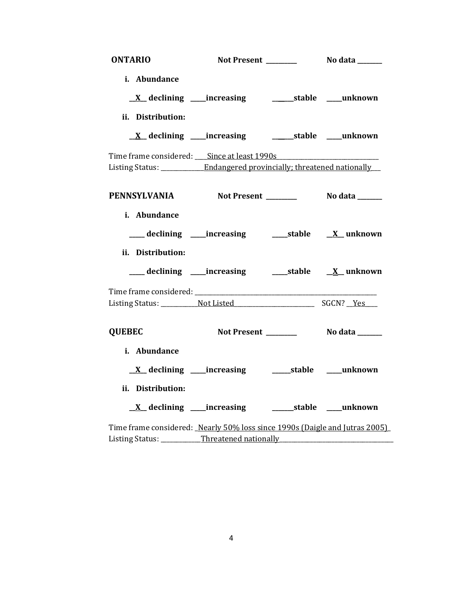| <b>ONTARIO</b>                                                                   |                                                                  |                |
|----------------------------------------------------------------------------------|------------------------------------------------------------------|----------------|
| i. Abundance                                                                     |                                                                  |                |
|                                                                                  | <u>X</u> declining ____increasing ___________stable ____unknown  |                |
| ii. Distribution:                                                                |                                                                  |                |
|                                                                                  | <u>X</u> declining ____increasing ___________stable ____unknown  |                |
| Time frame considered: Since at least 1990s                                      |                                                                  |                |
| Listing Status: __________ Endangered provincially; threatened nationally        |                                                                  |                |
| PENNSYLVANIA Not Present _________ No data ______                                |                                                                  |                |
| i. Abundance                                                                     |                                                                  |                |
|                                                                                  | ___ declining ____increasing ______stable ___ X__unknown         |                |
| ii. Distribution:                                                                |                                                                  |                |
|                                                                                  |                                                                  |                |
|                                                                                  |                                                                  |                |
|                                                                                  |                                                                  |                |
| <b>QUEBEC</b>                                                                    | Not Present _______                                              | No data ______ |
| i. Abundance                                                                     |                                                                  |                |
|                                                                                  | <u>X</u> declining ____increasing ___________stable _____unknown |                |
| ii. Distribution:                                                                |                                                                  |                |
|                                                                                  | <u>X</u> declining ____increasing ____________stable ____unknown |                |
| Time frame considered: Nearly 50% loss since 1990s (Daigle and Jutras 2005)      |                                                                  |                |
| Listing Status: ___________Threatened nationally _______________________________ |                                                                  |                |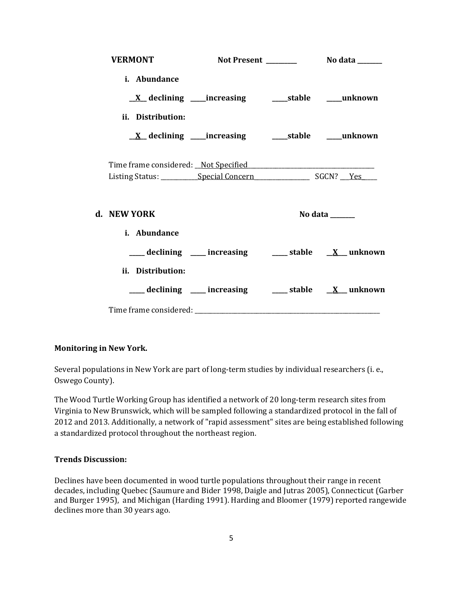| <b>VERMONT</b>      |                                                             |                                                        |
|---------------------|-------------------------------------------------------------|--------------------------------------------------------|
| i. Abundance        |                                                             |                                                        |
|                     |                                                             |                                                        |
| ii. Distribution:   |                                                             |                                                        |
|                     | <u>X</u> declining ____increasing ______stable _____unknown |                                                        |
|                     |                                                             |                                                        |
|                     |                                                             |                                                        |
| d. NEW YORK         |                                                             | No data ______                                         |
| <i>i.</i> Abundance |                                                             |                                                        |
|                     |                                                             | ___ declining ___ increasing ___ stable __ X_ unknown  |
| ii. Distribution:   |                                                             |                                                        |
|                     |                                                             | ___ declining ___ increasing ___ stable __ X__ unknown |
|                     |                                                             |                                                        |

# **Monitoring in New York.**

Several populations in New York are part of long-term studies by individual researchers (i. e., Oswego County).

The Wood Turtle Working Group has identified a network of 20 long-term research sites from Virginia to New Brunswick, which will be sampled following a standardized protocol in the fall of 2012 and 2013. Additionally, a network of "rapid assessment" sites are being established following a standardized protocol throughout the northeast region.

# **Trends Discussion:**

Declines have been documented in wood turtle populations throughout their range in recent decades, including Quebec (Saumure and Bider 1998, Daigle and Jutras 2005), Connecticut (Garber and Burger 1995), and Michigan (Harding 1991). Harding and Bloomer (1979) reported rangewide declines more than 30 years ago.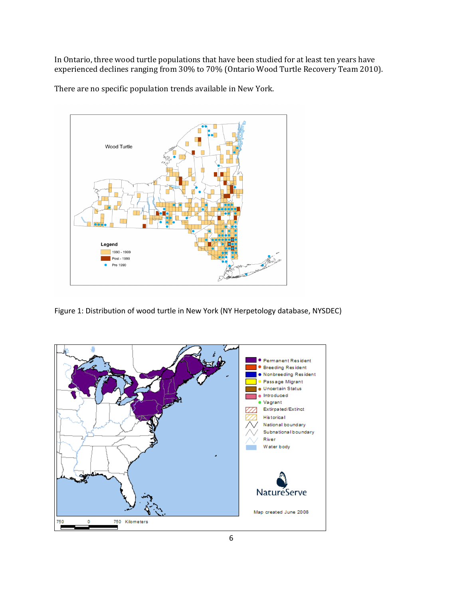In Ontario, three wood turtle populations that have been studied for at least ten years have experienced declines ranging from 30% to 70% (Ontario Wood Turtle Recovery Team 2010).

There are no specific population trends available in New York.



Figure 1: Distribution of wood turtle in New York (NY Herpetology database, NYSDEC)

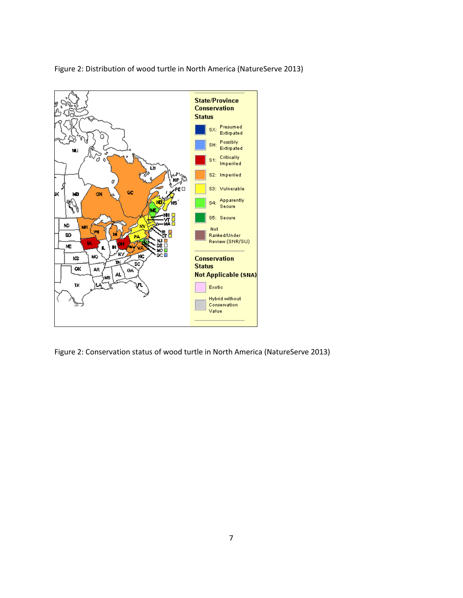

Figure 2: Distribution of wood turtle in North America (NatureServe 2013)

Figure 2: Conservation status of wood turtle in North America (NatureServe 2013)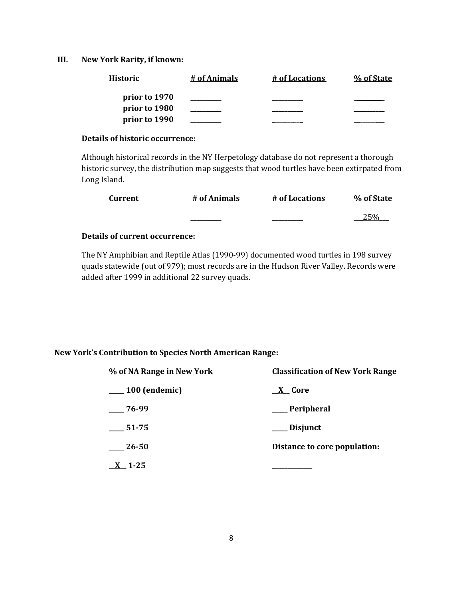# **III. New York Rarity, if known:**

| <b>Historic</b> | # of Animals | # of Locations | % of State |
|-----------------|--------------|----------------|------------|
| prior to 1970   |              |                |            |
| prior to 1980   |              |                |            |
| prior to 1990   |              |                |            |

### **Details of historic occurrence:**

Although historical records in the NY Herpetology database do not represent a thorough historic survey, the distribution map suggests that wood turtles have been extirpated from Long Island.

| Current | # of Animals | # of Locations | % of State |
|---------|--------------|----------------|------------|
|         | _______      |                | 250/       |

# **Details of current occurrence:**

The NY Amphibian and Reptile Atlas (1990-99) documented wood turtles in 198 survey quads statewide (out of 979); most records are in the Hudson River Valley. Records were added after 1999 in additional 22 survey quads.

### **New York's Contribution to Species North American Range:**

| % of NA Range in New York | <b>Classification of New York Range</b> |  |  |
|---------------------------|-----------------------------------------|--|--|
| $\_\_100$ (endemic)       | $X$ Core                                |  |  |
| $-76-99$                  | ___ Peripheral                          |  |  |
| 51-75                     | Disjunct                                |  |  |
| 26-50                     | Distance to core population:            |  |  |
| $-1 - 25$                 |                                         |  |  |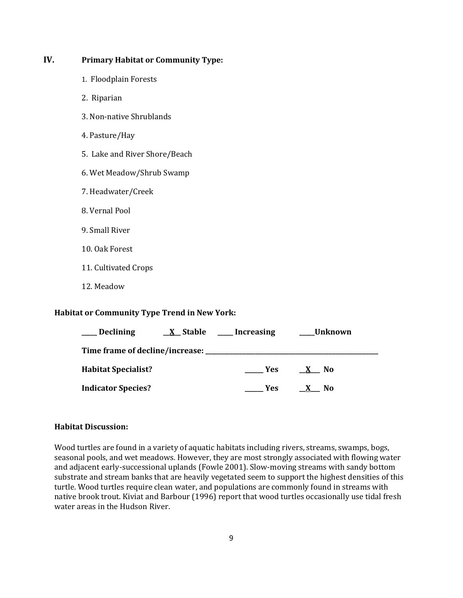# **IV. Primary Habitat or Community Type:**

- 1. Floodplain Forests
- 2. Riparian
- 3. Non-native Shrublands
- 4. Pasture/Hay
- 5. Lake and River Shore/Beach
- 6. Wet Meadow/Shrub Swamp
- 7. Headwater/Creek
- 8. Vernal Pool
- 9. Small River
- 10. Oak Forest
- 11. Cultivated Crops
- 12. Meadow

### **Habitat or Community Type Trend in New York:**

| <b>Declining</b>           | <u>X</u> Stable | __Increasing | Unknown |  |
|----------------------------|-----------------|--------------|---------|--|
|                            |                 |              |         |  |
| <b>Habitat Specialist?</b> |                 | Yes:         | N0      |  |
| <b>Indicator Species?</b>  |                 | Yes.         | N0      |  |

#### **Habitat Discussion:**

Wood turtles are found in a variety of aquatic habitats including rivers, streams, swamps, bogs, seasonal pools, and wet meadows. However, they are most strongly associated with flowing water and adjacent early-successional uplands (Fowle 2001). Slow-moving streams with sandy bottom substrate and stream banks that are heavily vegetated seem to support the highest densities of this turtle. Wood turtles require clean water, and populations are commonly found in streams with native brook trout. Kiviat and Barbour (1996) report that wood turtles occasionally use tidal fresh water areas in the Hudson River.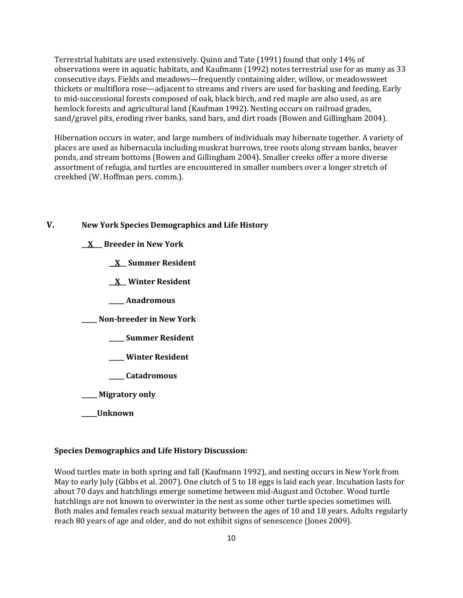Terrestrial habitats are used extensively. Quinn and Tate (1991) found that only 14% of observations were in aquatic habitats, and Kaufmann (1992) notes terrestrial use for as many as 33 consecutive days. Fields and meadows—frequently containing alder, willow, or meadowsweet thickets or multiflora rose—adjacent to streams and rivers are used for basking and feeding. Early to mid-successional forests composed of oak, black birch, and red maple are also used, as are hemlock forests and agricultural land (Kaufman 1992). Nesting occurs on railroad grades, sand/gravel pits, eroding river banks, sand bars, and dirt roads (Bowen and Gillingham 2004).

Hibernation occurs in water, and large numbers of individuals may hibernate together. A variety of places are used as hibernacula including muskrat burrows, tree roots along stream banks, beaver ponds, and stream bottoms (Bowen and Gillingham 2004). Smaller creeks offer a more diverse assortment of refugia, and turtles are encountered in smaller numbers over a longer stretch of creekbed (W. Hoffman pers. comm.).

# **V. New York Species Demographics and Life History**

**\_\_X\_\_\_ Breeder in New York**

**\_\_X\_\_ Summer Resident**

**\_\_X\_\_ Winter Resident**

**\_\_\_\_\_ Anadromous**

**\_\_\_\_\_ Non-breeder in New York**

**\_\_\_\_\_ Summer Resident**

**\_\_\_\_\_ Winter Resident**

**\_\_\_\_\_ Catadromous**

**\_\_\_\_\_ Migratory only**

**\_\_\_\_\_Unknown**

#### **Species Demographics and Life History Discussion:**

Wood turtles mate in both spring and fall (Kaufmann 1992), and nesting occurs in New York from May to early July (Gibbs et al. 2007). One clutch of 5 to 18 eggs is laid each year. Incubation lasts for about 70 days and hatchlings emerge sometime between mid-August and October. Wood turtle hatchlings are not known to overwinter in the nest as some other turtle species sometimes will. Both males and females reach sexual maturity between the ages of 10 and 18 years. Adults regularly reach 80 years of age and older, and do not exhibit signs of senescence (Jones 2009).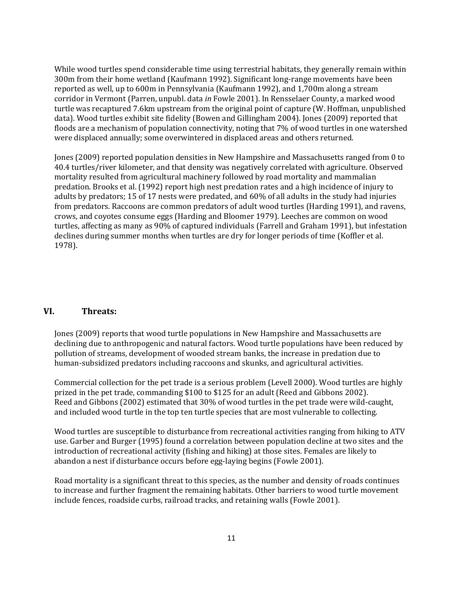While wood turtles spend considerable time using terrestrial habitats, they generally remain within 300m from their home wetland (Kaufmann 1992). Significant long-range movements have been reported as well, up to 600m in Pennsylvania (Kaufmann 1992), and 1,700m along a stream corridor in Vermont (Parren, unpubl. data *in* Fowle 2001). In Rensselaer County, a marked wood turtle was recaptured 7.6km upstream from the original point of capture (W. Hoffman, unpublished data). Wood turtles exhibit site fidelity (Bowen and Gillingham 2004). Jones (2009) reported that floods are a mechanism of population connectivity, noting that 7% of wood turtles in one watershed were displaced annually; some overwintered in displaced areas and others returned.

Jones (2009) reported population densities in New Hampshire and Massachusetts ranged from 0 to 40.4 turtles/river kilometer, and that density was negatively correlated with agriculture. Observed mortality resulted from agricultural machinery followed by road mortality and mammalian predation. Brooks et al. (1992) report high nest predation rates and a high incidence of injury to adults by predators; 15 of 17 nests were predated, and 60% of all adults in the study had injuries from predators. Raccoons are common predators of adult wood turtles (Harding 1991), and ravens, crows, and coyotes consume eggs (Harding and Bloomer 1979). Leeches are common on wood turtles, affecting as many as 90% of captured individuals (Farrell and Graham 1991), but infestation declines during summer months when turtles are dry for longer periods of time (Koffler et al. 1978).

# **VI. Threats:**

Jones (2009) reports that wood turtle populations in New Hampshire and Massachusetts are declining due to anthropogenic and natural factors. Wood turtle populations have been reduced by pollution of streams, development of wooded stream banks, the increase in predation due to human-subsidized predators including raccoons and skunks, and agricultural activities.

Commercial collection for the pet trade is a serious problem (Levell 2000). Wood turtles are highly prized in the pet trade, commanding \$100 to \$125 for an adult (Reed and Gibbons 2002). Reed and Gibbons (2002) estimated that 30% of wood turtles in the pet trade were wild-caught, and included wood turtle in the top ten turtle species that are most vulnerable to collecting.

Wood turtles are susceptible to disturbance from recreational activities ranging from hiking to ATV use. Garber and Burger (1995) found a correlation between population decline at two sites and the introduction of recreational activity (fishing and hiking) at those sites. Females are likely to abandon a nest if disturbance occurs before egg-laying begins (Fowle 2001).

Road mortality is a significant threat to this species, as the number and density of roads continues to increase and further fragment the remaining habitats. Other barriers to wood turtle movement include fences, roadside curbs, railroad tracks, and retaining walls (Fowle 2001).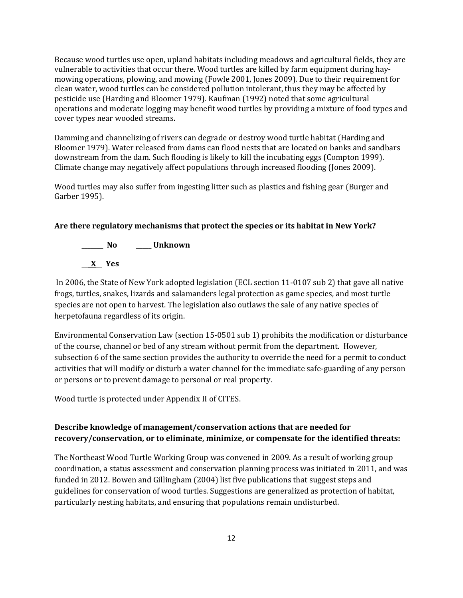Because wood turtles use open, upland habitats including meadows and agricultural fields, they are vulnerable to activities that occur there. Wood turtles are killed by farm equipment during haymowing operations, plowing, and mowing (Fowle 2001, Jones 2009). Due to their requirement for clean water, wood turtles can be considered pollution intolerant, thus they may be affected by pesticide use (Harding and Bloomer 1979). Kaufman (1992) noted that some agricultural operations and moderate logging may benefit wood turtles by providing a mixture of food types and cover types near wooded streams.

Damming and channelizing of rivers can degrade or destroy wood turtle habitat (Harding and Bloomer 1979). Water released from dams can flood nests that are located on banks and sandbars downstream from the dam. Such flooding is likely to kill the incubating eggs (Compton 1999). Climate change may negatively affect populations through increased flooding (Jones 2009).

Wood turtles may also suffer from ingesting litter such as plastics and fishing gear (Burger and Garber 1995).

# **Are there regulatory mechanisms that protect the species or its habitat in New York?**

**\_\_\_\_\_\_\_ No \_\_\_\_\_ Unknown \_\_\_X\_\_ Yes** 

In 2006, the State of New York adopted legislation (ECL section 11-0107 sub 2) that gave all native frogs, turtles, snakes, lizards and salamanders legal protection as game species, and most turtle species are not open to harvest. The legislation also outlaws the sale of any native species of herpetofauna regardless of its origin.

Environmental Conservation Law (section 15-0501 sub 1) prohibits the modification or disturbance of the course, channel or bed of any stream without permit from the department. However, subsection 6 of the same section provides the authority to override the need for a permit to conduct activities that will modify or disturb a water channel for the immediate safe-guarding of any person or persons or to prevent damage to personal or real property.

Wood turtle is protected under Appendix II of CITES.

# **Describe knowledge of management/conservation actions that are needed for recovery/conservation, or to eliminate, minimize, or compensate for the identified threats:**

The Northeast Wood Turtle Working Group was convened in 2009. As a result of working group coordination, a status assessment and conservation planning process was initiated in 2011, and was funded in 2012. Bowen and Gillingham (2004) list five publications that suggest steps and guidelines for conservation of wood turtles. Suggestions are generalized as protection of habitat, particularly nesting habitats, and ensuring that populations remain undisturbed.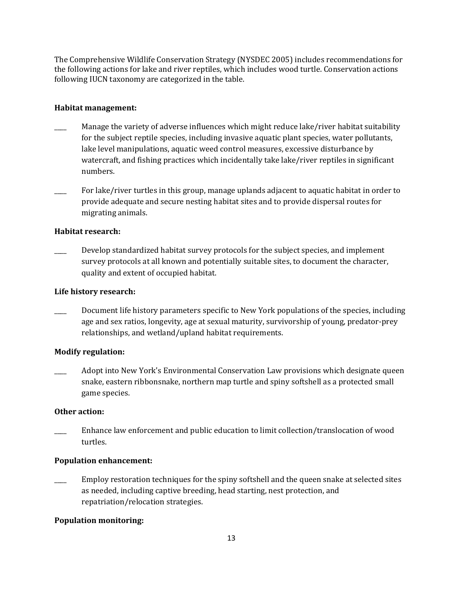The Comprehensive Wildlife Conservation Strategy (NYSDEC 2005) includes recommendations for the following actions for lake and river reptiles, which includes wood turtle. Conservation actions following IUCN taxonomy are categorized in the table.

# **Habitat management:**

- Manage the variety of adverse influences which might reduce lake/river habitat suitability for the subject reptile species, including invasive aquatic plant species, water pollutants, lake level manipulations, aquatic weed control measures, excessive disturbance by watercraft, and fishing practices which incidentally take lake/river reptiles in significant numbers.
- For lake/river turtles in this group, manage uplands adjacent to aquatic habitat in order to provide adequate and secure nesting habitat sites and to provide dispersal routes for migrating animals.

# **Habitat research:**

Develop standardized habitat survey protocols for the subject species, and implement survey protocols at all known and potentially suitable sites, to document the character, quality and extent of occupied habitat.

# **Life history research:**

Document life history parameters specific to New York populations of the species, including age and sex ratios, longevity, age at sexual maturity, survivorship of young, predator-prey relationships, and wetland/upland habitat requirements.

# **Modify regulation:**

\_\_\_\_ Adopt into New York's Environmental Conservation Law provisions which designate queen snake, eastern ribbonsnake, northern map turtle and spiny softshell as a protected small game species.

# **Other action:**

\_\_\_\_ Enhance law enforcement and public education to limit collection/translocation of wood turtles.

# **Population enhancement:**

Employ restoration techniques for the spiny softshell and the queen snake at selected sites as needed, including captive breeding, head starting, nest protection, and repatriation/relocation strategies.

# **Population monitoring:**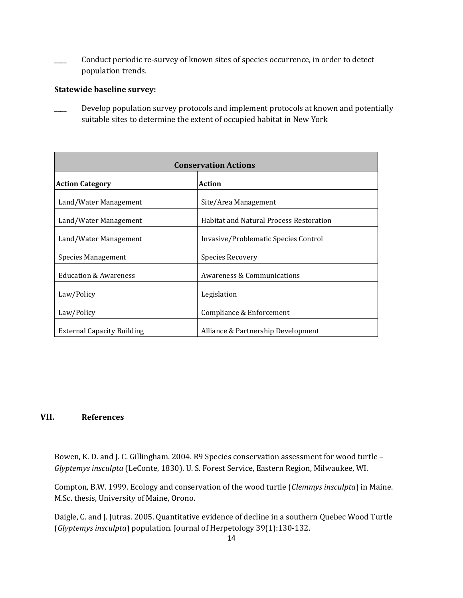Conduct periodic re-survey of known sites of species occurrence, in order to detect population trends.

# **Statewide baseline survey:**

Develop population survey protocols and implement protocols at known and potentially suitable sites to determine the extent of occupied habitat in New York

| <b>Conservation Actions</b>       |                                                |  |
|-----------------------------------|------------------------------------------------|--|
| <b>Action Category</b>            | Action                                         |  |
| Land/Water Management             | Site/Area Management                           |  |
| Land/Water Management             | <b>Habitat and Natural Process Restoration</b> |  |
| Land/Water Management             | Invasive/Problematic Species Control           |  |
| Species Management                | Species Recovery                               |  |
| <b>Education &amp; Awareness</b>  | Awareness & Communications                     |  |
| Law/Policy                        | Legislation                                    |  |
| Law/Policy                        | Compliance & Enforcement                       |  |
| <b>External Capacity Building</b> | Alliance & Partnership Development             |  |

# **VII. References**

Bowen, K. D. and J. C. Gillingham. 2004. R9 Species conservation assessment for wood turtle – *Glyptemys insculpta* (LeConte, 1830). U. S. Forest Service, Eastern Region, Milwaukee, WI.

Compton, B.W. 1999. Ecology and conservation of the wood turtle (*Clemmys insculpta*) in Maine. M.Sc. thesis, University of Maine, Orono.

Daigle, C. and J. Jutras. 2005. Quantitative evidence of decline in a southern Quebec Wood Turtle (*Glyptemys insculpta*) population. Journal of Herpetology 39(1):130-132.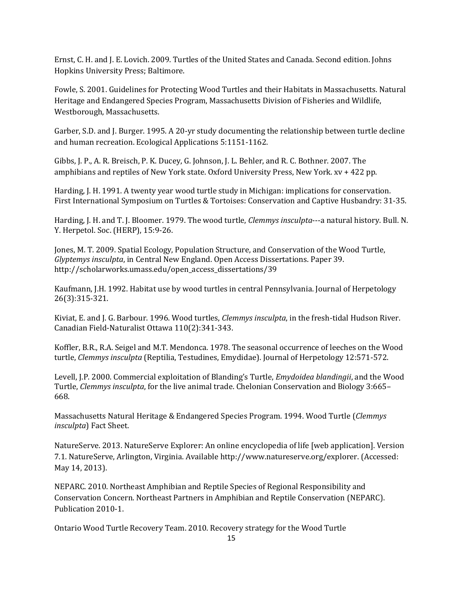Ernst, C. H. and J. E. Lovich. 2009. Turtles of the United States and Canada. Second edition. Johns Hopkins University Press; Baltimore.

Fowle, S. 2001. Guidelines for Protecting Wood Turtles and their Habitats in Massachusetts. Natural Heritage and Endangered Species Program, Massachusetts Division of Fisheries and Wildlife, Westborough, Massachusetts.

Garber, S.D. and J. Burger. 1995. A 20-yr study documenting the relationship between turtle decline and human recreation. Ecological Applications 5:1151-1162.

Gibbs, J. P., A. R. Breisch, P. K. Ducey, G. Johnson, J. L. Behler, and R. C. Bothner. 2007. The amphibians and reptiles of New York state. Oxford University Press, New York. xv + 422 pp.

Harding, J. H. 1991. A twenty year wood turtle study in Michigan: implications for conservation. First International Symposium on Turtles & Tortoises: Conservation and Captive Husbandry: 31-35.

Harding, J. H. and T. J. Bloomer. 1979. The wood turtle, *Clemmys insculpta*---a natural history. Bull. N. Y. Herpetol. Soc. (HERP), 15:9-26.

Jones, M. T. 2009. Spatial Ecology, Population Structure, and Conservation of the Wood Turtle, *Glyptemys insculpta*, in Central New England. Open Access Dissertations. Paper 39. http://scholarworks.umass.edu/open\_access\_dissertations/39

Kaufmann, J.H. 1992. Habitat use by wood turtles in central Pennsylvania. Journal of Herpetology 26(3):315-321.

Kiviat, E. and J. G. Barbour. 1996. Wood turtles, *Clemmys insculpta*, in the fresh-tidal Hudson River. Canadian Field-Naturalist Ottawa 110(2):341-343.

Koffler, B.R., R.A. Seigel and M.T. Mendonca. 1978. The seasonal occurrence of leeches on the Wood turtle, *Clemmys insculpta* (Reptilia, Testudines, Emydidae). Journal of Herpetology 12:571-572.

Levell, J.P. 2000. Commercial exploitation of Blanding's Turtle, *Emydoidea blandingii*, and the Wood Turtle, *Clemmys insculpta*, for the live animal trade. Chelonian Conservation and Biology 3:665– 668.

Massachusetts Natural Heritage & Endangered Species Program. 1994. Wood Turtle (*Clemmys insculpta*) Fact Sheet.

NatureServe. 2013. NatureServe Explorer: An online encyclopedia of life [web application]. Version 7.1. NatureServe, Arlington, Virginia. Available http://www.natureserve.org/explorer. (Accessed: May 14, 2013).

NEPARC. 2010. Northeast Amphibian and Reptile Species of Regional Responsibility and Conservation Concern. Northeast Partners in Amphibian and Reptile Conservation (NEPARC). Publication 2010-1.

Ontario Wood Turtle Recovery Team. 2010. Recovery strategy for the Wood Turtle